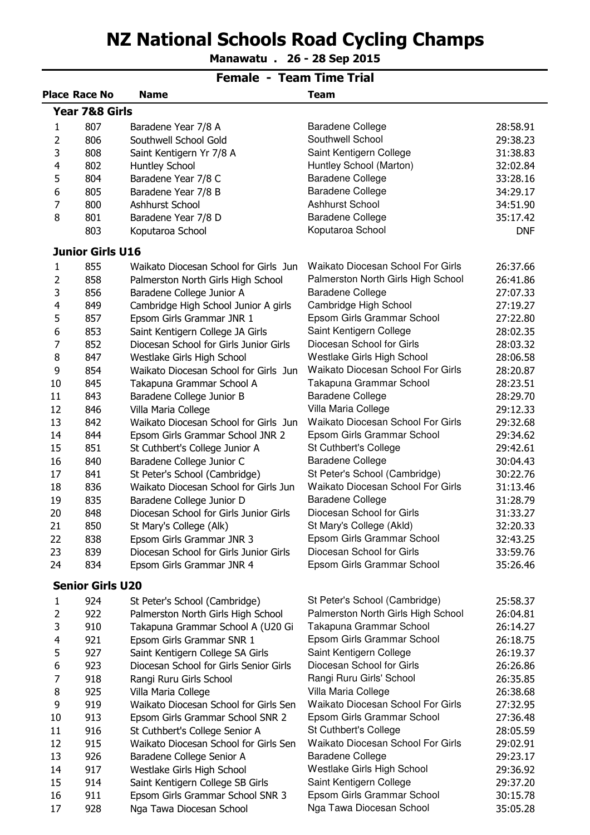## NZ National Schools Road Cycling Champs

<del>. . . . . . .</del> Manawatu . 26 - 28 Sep 2015

|                | Female - Team Time Trial  |                                        |                                    |            |  |  |
|----------------|---------------------------|----------------------------------------|------------------------------------|------------|--|--|
|                | <b>Place Race No</b>      | <b>Name</b>                            | <b>Team</b>                        |            |  |  |
|                | <b>Year 7&amp;8 Girls</b> |                                        |                                    |            |  |  |
| 1              | 807                       | Baradene Year 7/8 A                    | <b>Baradene College</b>            | 28:58.91   |  |  |
| 2              | 806                       | Southwell School Gold                  | Southwell School                   | 29:38.23   |  |  |
| 3              | 808                       | Saint Kentigern Yr 7/8 A               | Saint Kentigern College            | 31:38.83   |  |  |
| $\overline{4}$ | 802                       | Huntley School                         | Huntley School (Marton)            | 32:02.84   |  |  |
| 5              | 804                       | Baradene Year 7/8 C                    | <b>Baradene College</b>            | 33:28.16   |  |  |
| 6              | 805                       | Baradene Year 7/8 B                    | <b>Baradene College</b>            | 34:29.17   |  |  |
| 7              | 800                       | Ashhurst School                        | Ashhurst School                    | 34:51.90   |  |  |
| 8              | 801                       | Baradene Year 7/8 D                    | <b>Baradene College</b>            | 35:17.42   |  |  |
|                | 803                       | Koputaroa School                       | Koputaroa School                   | <b>DNF</b> |  |  |
|                | <b>Junior Girls U16</b>   |                                        |                                    |            |  |  |
| 1              | 855                       | Waikato Diocesan School for Girls Jun  | Waikato Diocesan School For Girls  | 26:37.66   |  |  |
| 2              | 858                       | Palmerston North Girls High School     | Palmerston North Girls High School | 26:41.86   |  |  |
| 3              | 856                       | Baradene College Junior A              | <b>Baradene College</b>            | 27:07.33   |  |  |
| 4              | 849                       | Cambridge High School Junior A girls   | Cambridge High School              | 27:19.27   |  |  |
| 5              | 857                       | Epsom Girls Grammar JNR 1              | Epsom Girls Grammar School         | 27:22.80   |  |  |
| 6              | 853                       | Saint Kentigern College JA Girls       | Saint Kentigern College            | 28:02.35   |  |  |
| 7              | 852                       | Diocesan School for Girls Junior Girls | Diocesan School for Girls          | 28:03.32   |  |  |
| 8              | 847                       | Westlake Girls High School             | Westlake Girls High School         | 28:06.58   |  |  |
| 9              | 854                       | Waikato Diocesan School for Girls Jun  | Waikato Diocesan School For Girls  | 28:20.87   |  |  |
| 10             | 845                       | Takapuna Grammar School A              | Takapuna Grammar School            | 28:23.51   |  |  |
| 11             | 843                       | Baradene College Junior B              | <b>Baradene College</b>            | 28:29.70   |  |  |
| 12             | 846                       | Villa Maria College                    | Villa Maria College                | 29:12.33   |  |  |
| 13             | 842                       | Waikato Diocesan School for Girls Jun  | Waikato Diocesan School For Girls  | 29:32.68   |  |  |
| 14             | 844                       | Epsom Girls Grammar School JNR 2       | Epsom Girls Grammar School         | 29:34.62   |  |  |
| 15             | 851                       | St Cuthbert's College Junior A         | St Cuthbert's College              | 29:42.61   |  |  |
| 16             | 840                       | Baradene College Junior C              | Baradene College                   | 30:04.43   |  |  |
| 17             | 841                       | St Peter's School (Cambridge)          | St Peter's School (Cambridge)      | 30:22.76   |  |  |
| 18             | 836                       | Waikato Diocesan School for Girls Jun  | Waikato Diocesan School For Girls  | 31:13.46   |  |  |
| 19             | 835                       | Baradene College Junior D              | <b>Baradene College</b>            | 31:28.79   |  |  |
| 20             | 848                       | Diocesan School for Girls Junior Girls | Diocesan School for Girls          | 31:33.27   |  |  |
| 21             | 850                       | St Mary's College (Alk)                | St Mary's College (Akld)           | 32:20.33   |  |  |
| 22             | 838                       | Epsom Girls Grammar JNR 3              | Epsom Girls Grammar School         | 32:43.25   |  |  |
| 23             | 839                       | Diocesan School for Girls Junior Girls | Diocesan School for Girls          | 33:59.76   |  |  |
| 24             | 834                       | Epsom Girls Grammar JNR 4              | Epsom Girls Grammar School         | 35:26.46   |  |  |
|                | <b>Senior Girls U20</b>   |                                        |                                    |            |  |  |
| 1              | 924                       | St Peter's School (Cambridge)          | St Peter's School (Cambridge)      | 25:58.37   |  |  |
| 2              | 922                       | Palmerston North Girls High School     | Palmerston North Girls High School | 26:04.81   |  |  |
| 3              | 910                       | Takapuna Grammar School A (U20 Gi      | Takapuna Grammar School            | 26:14.27   |  |  |
| $\overline{4}$ | 921                       | Epsom Girls Grammar SNR 1              | Epsom Girls Grammar School         | 26:18.75   |  |  |
| 5              | 927                       | Saint Kentigern College SA Girls       | Saint Kentigern College            | 26:19.37   |  |  |
| 6              | 923                       | Diocesan School for Girls Senior Girls | Diocesan School for Girls          | 26:26.86   |  |  |
| 7              | 918                       | Rangi Ruru Girls School                | Rangi Ruru Girls' School           | 26:35.85   |  |  |
| 8              | 925                       | Villa Maria College                    | Villa Maria College                | 26:38.68   |  |  |
| 9              | 919                       | Waikato Diocesan School for Girls Sen  | Waikato Diocesan School For Girls  | 27:32.95   |  |  |
| 10             | 913                       | Epsom Girls Grammar School SNR 2       | Epsom Girls Grammar School         | 27:36.48   |  |  |
| 11             | 916                       | St Cuthbert's College Senior A         | St Cuthbert's College              | 28:05.59   |  |  |
| 12             | 915                       | Waikato Diocesan School for Girls Sen  | Waikato Diocesan School For Girls  | 29:02.91   |  |  |
| 13             | 926                       | Baradene College Senior A              | <b>Baradene College</b>            | 29:23.17   |  |  |
| 14             | 917                       | Westlake Girls High School             | Westlake Girls High School         | 29:36.92   |  |  |
| 15             | 914                       | Saint Kentigern College SB Girls       | Saint Kentigern College            | 29:37.20   |  |  |
| 16             | 911                       | Epsom Girls Grammar School SNR 3       | Epsom Girls Grammar School         | 30:15.78   |  |  |
| 17             | 928                       | Nga Tawa Diocesan School               | Nga Tawa Diocesan School           | 35:05.28   |  |  |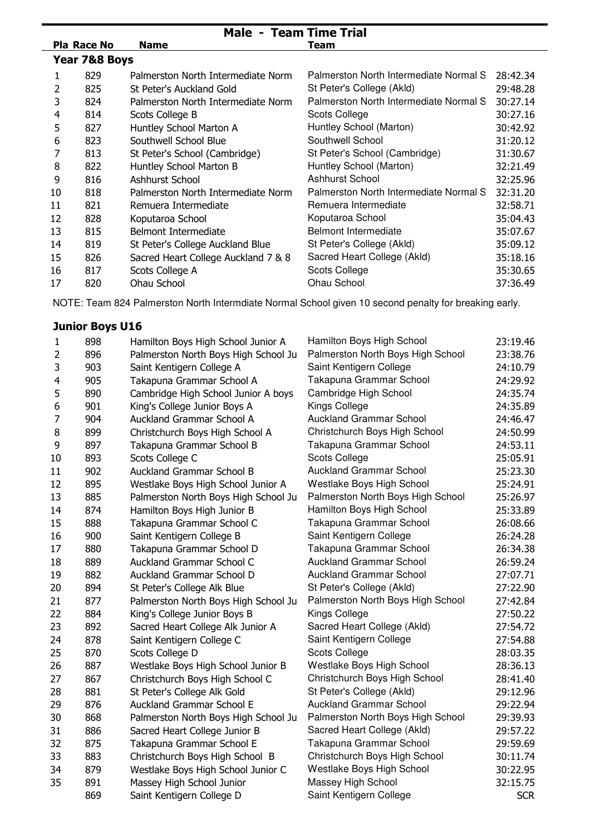| <b>Male - Team Time Trial</b> |             |                                     |                                        |          |  |
|-------------------------------|-------------|-------------------------------------|----------------------------------------|----------|--|
|                               | Pla Race No | <b>Name</b>                         | Team                                   |          |  |
| Year 7&8 Boys                 |             |                                     |                                        |          |  |
| 1                             | 829         | Palmerston North Intermediate Norm  | Palmerston North Intermediate Normal S | 28:42.34 |  |
| 2                             | 825         | St Peter's Auckland Gold            | St Peter's College (Akld)              | 29:48.28 |  |
| 3                             | 824         | Palmerston North Intermediate Norm  | Palmerston North Intermediate Normal S | 30:27.14 |  |
| 4                             | 814         | Scots College B                     | Scots College                          | 30:27.16 |  |
| 5                             | 827         | Huntley School Marton A             | Huntley School (Marton)                | 30:42.92 |  |
| 6                             | 823         | Southwell School Blue               | Southwell School                       | 31:20.12 |  |
|                               | 813         | St Peter's School (Cambridge)       | St Peter's School (Cambridge)          | 31:30.67 |  |
| 8                             | 822         | Huntley School Marton B             | Huntley School (Marton)                | 32:21.49 |  |
| 9                             | 816         | Ashhurst School                     | <b>Ashhurst School</b>                 | 32:25.96 |  |
| 10                            | 818         | Palmerston North Intermediate Norm  | Palmerston North Intermediate Normal S | 32:31.20 |  |
| 11                            | 821         | Remuera Intermediate                | Remuera Intermediate                   | 32:58.71 |  |
| 12                            | 828         | Koputaroa School                    | Koputaroa School                       | 35:04.43 |  |
| 13                            | 815         | <b>Belmont Intermediate</b>         | Belmont Intermediate                   | 35:07.67 |  |
| 14                            | 819         | St Peter's College Auckland Blue    | St Peter's College (Akld)              | 35:09.12 |  |
| 15                            | 826         | Sacred Heart College Auckland 7 & 8 | Sacred Heart College (Akld)            | 35:18.16 |  |
| 16                            | 817         | Scots College A                     | <b>Scots College</b>                   | 35:30.65 |  |
| 17                            | 820         | Ohau School                         | Ohau School                            | 37:36.49 |  |

NOTE: Team 824 Palmerston North Intermdiate Normal School given 10 second penalty for breaking early.

## Junior Boys U16

| 1              | 898 | Hamilton Boys High School Junior A   | Hamilton Boys High School         | 23:19.46   |
|----------------|-----|--------------------------------------|-----------------------------------|------------|
| $\overline{2}$ | 896 | Palmerston North Boys High School Ju | Palmerston North Boys High School | 23:38.76   |
| 3              | 903 | Saint Kentigern College A            | Saint Kentigern College           | 24:10.79   |
| $\overline{4}$ | 905 | Takapuna Grammar School A            | Takapuna Grammar School           | 24:29.92   |
| 5              | 890 | Cambridge High School Junior A boys  | Cambridge High School             | 24:35.74   |
| 6              | 901 | King's College Junior Boys A         | Kings College                     | 24:35.89   |
| 7              | 904 | Auckland Grammar School A            | <b>Auckland Grammar School</b>    | 24:46.47   |
| 8              | 899 | Christchurch Boys High School A      | Christchurch Boys High School     | 24:50.99   |
| 9              | 897 | Takapuna Grammar School B            | Takapuna Grammar School           | 24:53.11   |
| 10             | 893 | Scots College C                      | <b>Scots College</b>              | 25:05.91   |
| 11             | 902 | <b>Auckland Grammar School B</b>     | <b>Auckland Grammar School</b>    | 25:23.30   |
| 12             | 895 | Westlake Boys High School Junior A   | Westlake Boys High School         | 25:24.91   |
| 13             | 885 | Palmerston North Boys High School Ju | Palmerston North Boys High School | 25:26.97   |
| 14             | 874 | Hamilton Boys High Junior B          | Hamilton Boys High School         | 25:33.89   |
| 15             | 888 | Takapuna Grammar School C            | Takapuna Grammar School           | 26:08.66   |
| 16             | 900 | Saint Kentigern College B            | Saint Kentigern College           | 26:24.28   |
| 17             | 880 | Takapuna Grammar School D            | Takapuna Grammar School           | 26:34.38   |
| 18             | 889 | Auckland Grammar School C            | <b>Auckland Grammar School</b>    | 26:59.24   |
| 19             | 882 | Auckland Grammar School D            | <b>Auckland Grammar School</b>    | 27:07.71   |
| 20             | 894 | St Peter's College Alk Blue          | St Peter's College (Akld)         | 27:22.90   |
| 21             | 877 | Palmerston North Boys High School Ju | Palmerston North Boys High School | 27:42.84   |
| 22             | 884 | King's College Junior Boys B         | Kings College                     | 27:50.22   |
| 23             | 892 | Sacred Heart College Alk Junior A    | Sacred Heart College (Akld)       | 27:54.72   |
| 24             | 878 | Saint Kentigern College C            | Saint Kentigern College           | 27:54.88   |
| 25             | 870 | Scots College D                      | <b>Scots College</b>              | 28:03.35   |
| 26             | 887 | Westlake Boys High School Junior B   | Westlake Boys High School         | 28:36.13   |
| 27             | 867 | Christchurch Boys High School C      | Christchurch Boys High School     | 28:41.40   |
| 28             | 881 | St Peter's College Alk Gold          | St Peter's College (Akld)         | 29:12.96   |
| 29             | 876 | <b>Auckland Grammar School E</b>     | <b>Auckland Grammar School</b>    | 29:22.94   |
| 30             | 868 | Palmerston North Boys High School Ju | Palmerston North Boys High School | 29:39.93   |
| 31             | 886 | Sacred Heart College Junior B        | Sacred Heart College (Akld)       | 29:57.22   |
| 32             | 875 | Takapuna Grammar School E            | Takapuna Grammar School           | 29:59.69   |
| 33             | 883 | Christchurch Boys High School B      | Christchurch Boys High School     | 30:11.74   |
| 34             | 879 | Westlake Boys High School Junior C   | Westlake Boys High School         | 30:22.95   |
| 35             | 891 | Massey High School Junior            | Massey High School                | 32:15.75   |
|                | 869 | Saint Kentigern College D            | Saint Kentigern College           | <b>SCR</b> |